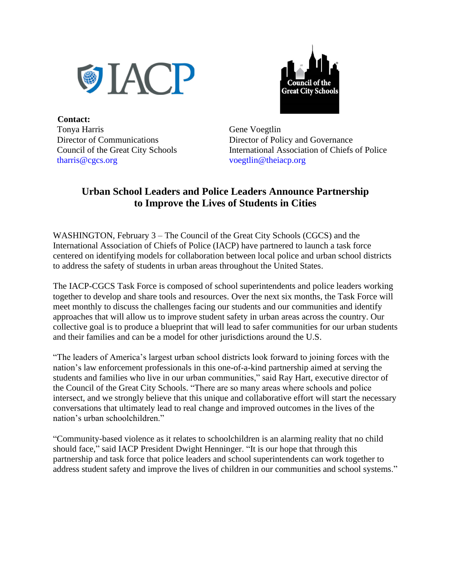



 **Contact:** Tonya Harris Director of Communications Council of the Great City Schools [tharris@cgcs.org](mailto:hduvall@cgcs.org) 

Gene Voegtlin Director of Policy and Governance International Association of Chiefs of Police voegtlin@theiacp.org

## **Urban School Leaders and Police Leaders Announce Partnership to Improve the Lives of Students in Cities**

WASHINGTON, February 3 – The Council of the Great City Schools (CGCS) and the International Association of Chiefs of Police (IACP) have partnered to launch a task force centered on identifying models for collaboration between local police and urban school districts to address the safety of students in urban areas throughout the United States.

The IACP-CGCS Task Force is composed of school superintendents and police leaders working together to develop and share tools and resources. Over the next six months, the Task Force will meet monthly to discuss the challenges facing our students and our communities and identify approaches that will allow us to improve student safety in urban areas across the country. Our collective goal is to produce a blueprint that will lead to safer communities for our urban students and their families and can be a model for other jurisdictions around the U.S.

"The leaders of America's largest urban school districts look forward to joining forces with the nation's law enforcement professionals in this one-of-a-kind partnership aimed at serving the students and families who live in our urban communities," said Ray Hart, executive director of the Council of the Great City Schools. "There are so many areas where schools and police intersect, and we strongly believe that this unique and collaborative effort will start the necessary conversations that ultimately lead to real change and improved outcomes in the lives of the nation's urban schoolchildren."

"Community-based violence as it relates to schoolchildren is an alarming reality that no child should face," said IACP President Dwight Henninger. "It is our hope that through this partnership and task force that police leaders and school superintendents can work together to address student safety and improve the lives of children in our communities and school systems."